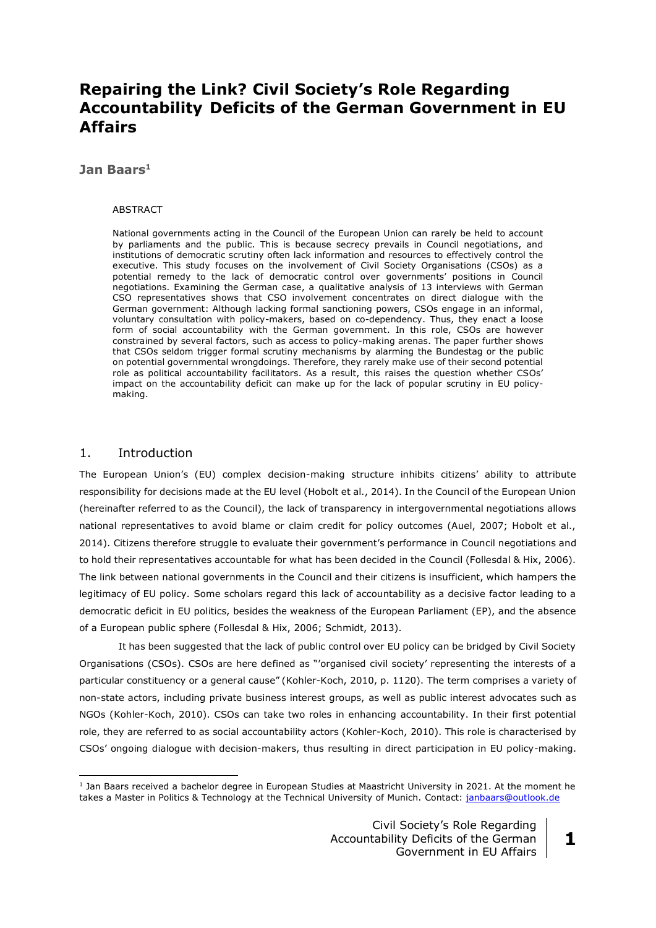# **Repairing the Link? Civil Society's Role Regarding Accountability Deficits of the German Government in EU Affairs**

### **Jan Baars<sup>1</sup>**

#### ABSTRACT

National governments acting in the Council of the European Union can rarely be held to account by parliaments and the public. This is because secrecy prevails in Council negotiations, and institutions of democratic scrutiny often lack information and resources to effectively control the executive. This study focuses on the involvement of Civil Society Organisations (CSOs) as a potential remedy to the lack of democratic control over governments' positions in Council negotiations. Examining the German case, a qualitative analysis of 13 interviews with German CSO representatives shows that CSO involvement concentrates on direct dialogue with the German government: Although lacking formal sanctioning powers, CSOs engage in an informal, voluntary consultation with policy-makers, based on co-dependency. Thus, they enact a loose form of social accountability with the German government. In this role, CSOs are however constrained by several factors, such as access to policy-making arenas. The paper further shows that CSOs seldom trigger formal scrutiny mechanisms by alarming the Bundestag or the public on potential governmental wrongdoings. Therefore, they rarely make use of their second potential role as political accountability facilitators. As a result, this raises the question whether CSOs' impact on the accountability deficit can make up for the lack of popular scrutiny in EU policymaking.

### 1. Introduction

<u>.</u>

The European Union's (EU) complex decision-making structure inhibits citizens' ability to attribute responsibility for decisions made at the EU level (Hobolt et al., 2014). In the Council of the European Union (hereinafter referred to as the Council), the lack of transparency in intergovernmental negotiations allows national representatives to avoid blame or claim credit for policy outcomes (Auel, 2007; Hobolt et al., 2014). Citizens therefore struggle to evaluate their government's performance in Council negotiations and to hold their representatives accountable for what has been decided in the Council (Follesdal & Hix, 2006). The link between national governments in the Council and their citizens is insufficient, which hampers the legitimacy of EU policy. Some scholars regard this lack of accountability as a decisive factor leading to a democratic deficit in EU politics, besides the weakness of the European Parliament (EP), and the absence of a European public sphere (Follesdal & Hix, 2006; Schmidt, 2013).

It has been suggested that the lack of public control over EU policy can be bridged by Civil Society Organisations (CSOs). CSOs are here defined as "'organised civil society' representing the interests of a particular constituency or a general cause" (Kohler-Koch, 2010, p. 1120). The term comprises a variety of non-state actors, including private business interest groups, as well as public interest advocates such as NGOs (Kohler-Koch, 2010). CSOs can take two roles in enhancing accountability. In their first potential role, they are referred to as social accountability actors (Kohler-Koch, 2010). This role is characterised by CSOs' ongoing dialogue with decision-makers, thus resulting in direct participation in EU policy-making.

<sup>&</sup>lt;sup>1</sup> Jan Baars received a bachelor degree in European Studies at Maastricht University in 2021. At the moment he takes a Master in Politics & Technology at the Technical University of Munich. Contact: [janbaars@outlook.de](mailto:janbaars@outlook.de)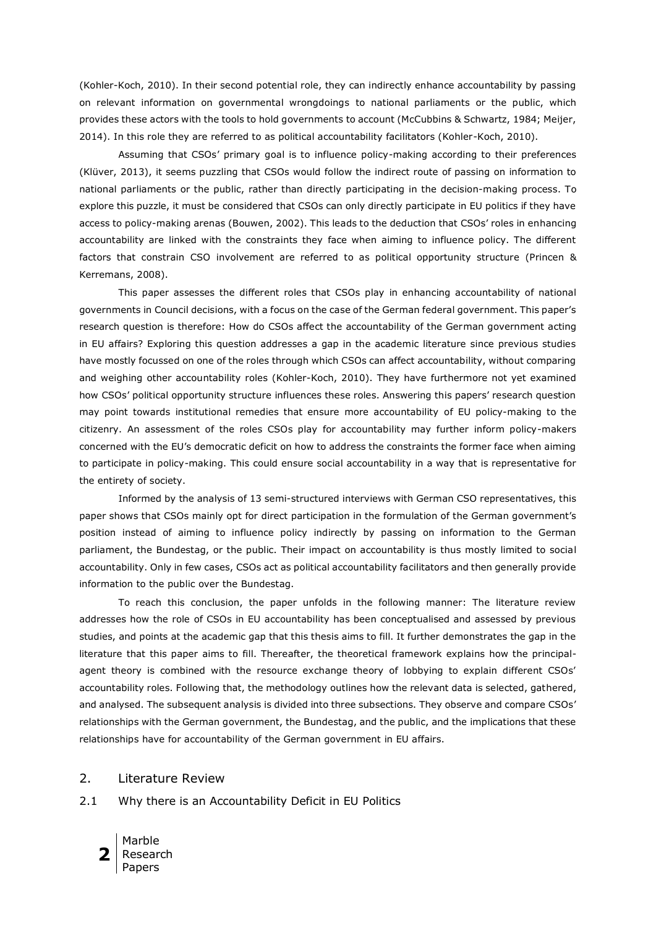(Kohler-Koch, 2010). In their second potential role, they can indirectly enhance accountability by passing on relevant information on governmental wrongdoings to national parliaments or the public, which provides these actors with the tools to hold governments to account (McCubbins & Schwartz, 1984; Meijer, 2014). In this role they are referred to as political accountability facilitators (Kohler-Koch, 2010).

Assuming that CSOs' primary goal is to influence policy-making according to their preferences (Klüver, 2013), it seems puzzling that CSOs would follow the indirect route of passing on information to national parliaments or the public, rather than directly participating in the decision-making process. To explore this puzzle, it must be considered that CSOs can only directly participate in EU politics if they have access to policy-making arenas (Bouwen, 2002). This leads to the deduction that CSOs' roles in enhancing accountability are linked with the constraints they face when aiming to influence policy. The different factors that constrain CSO involvement are referred to as political opportunity structure (Princen & Kerremans, 2008).

This paper assesses the different roles that CSOs play in enhancing accountability of national governments in Council decisions, with a focus on the case of the German federal government. This paper's research question is therefore: How do CSOs affect the accountability of the German government acting in EU affairs? Exploring this question addresses a gap in the academic literature since previous studies have mostly focussed on one of the roles through which CSOs can affect accountability, without comparing and weighing other accountability roles (Kohler-Koch, 2010). They have furthermore not yet examined how CSOs' political opportunity structure influences these roles. Answering this papers' research question may point towards institutional remedies that ensure more accountability of EU policy-making to the citizenry. An assessment of the roles CSOs play for accountability may further inform policy-makers concerned with the EU's democratic deficit on how to address the constraints the former face when aiming to participate in policy-making. This could ensure social accountability in a way that is representative for the entirety of society.

Informed by the analysis of 13 semi-structured interviews with German CSO representatives, this paper shows that CSOs mainly opt for direct participation in the formulation of the German government's position instead of aiming to influence policy indirectly by passing on information to the German parliament, the Bundestag, or the public. Their impact on accountability is thus mostly limited to social accountability. Only in few cases, CSOs act as political accountability facilitators and then generally provide information to the public over the Bundestag.

To reach this conclusion, the paper unfolds in the following manner: The literature review addresses how the role of CSOs in EU accountability has been conceptualised and assessed by previous studies, and points at the academic gap that this thesis aims to fill. It further demonstrates the gap in the literature that this paper aims to fill. Thereafter, the theoretical framework explains how the principalagent theory is combined with the resource exchange theory of lobbying to explain different CSOs' accountability roles. Following that, the methodology outlines how the relevant data is selected, gathered, and analysed. The subsequent analysis is divided into three subsections. They observe and compare CSOs' relationships with the German government, the Bundestag, and the public, and the implications that these relationships have for accountability of the German government in EU affairs.

## 2. Literature Review

2.1 Why there is an Accountability Deficit in EU Politics

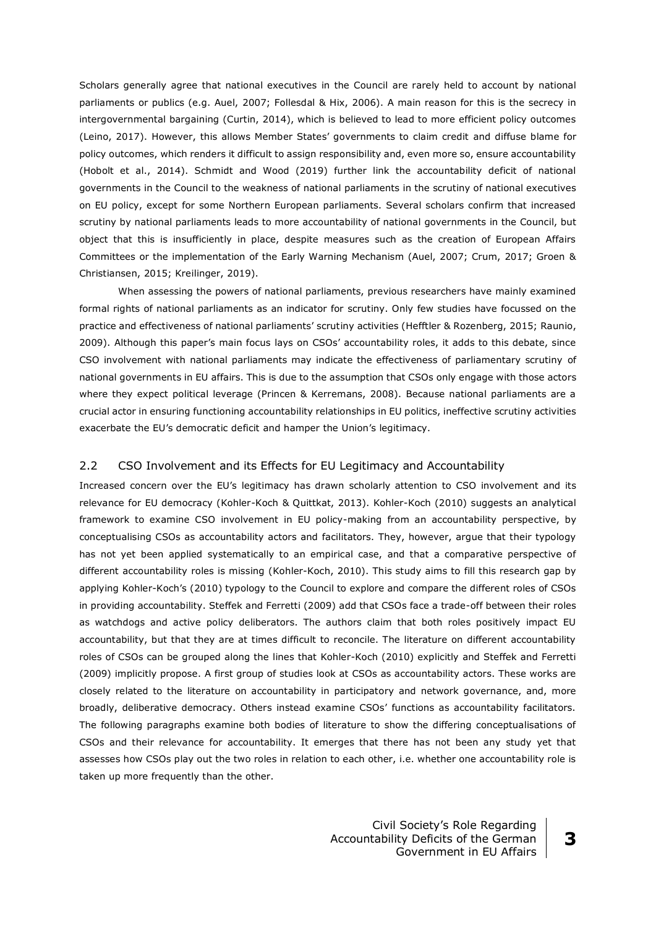Scholars generally agree that national executives in the Council are rarely held to account by national parliaments or publics (e.g. Auel, 2007; Follesdal & Hix, 2006). A main reason for this is the secrecy in intergovernmental bargaining (Curtin, 2014), which is believed to lead to more efficient policy outcomes (Leino, 2017). However, this allows Member States' governments to claim credit and diffuse blame for policy outcomes, which renders it difficult to assign responsibility and, even more so, ensure accountability (Hobolt et al., 2014). Schmidt and Wood (2019) further link the accountability deficit of national governments in the Council to the weakness of national parliaments in the scrutiny of national executives on EU policy, except for some Northern European parliaments. Several scholars confirm that increased scrutiny by national parliaments leads to more accountability of national governments in the Council, but object that this is insufficiently in place, despite measures such as the creation of European Affairs Committees or the implementation of the Early Warning Mechanism (Auel, 2007; Crum, 2017; Groen & Christiansen, 2015; Kreilinger, 2019).

When assessing the powers of national parliaments, previous researchers have mainly examined formal rights of national parliaments as an indicator for scrutiny. Only few studies have focussed on the practice and effectiveness of national parliaments' scrutiny activities (Hefftler & Rozenberg, 2015; Raunio, 2009). Although this paper's main focus lays on CSOs' accountability roles, it adds to this debate, since CSO involvement with national parliaments may indicate the effectiveness of parliamentary scrutiny of national governments in EU affairs. This is due to the assumption that CSOs only engage with those actors where they expect political leverage (Princen & Kerremans, 2008). Because national parliaments are a crucial actor in ensuring functioning accountability relationships in EU politics, ineffective scrutiny activities exacerbate the EU's democratic deficit and hamper the Union's legitimacy.

### 2.2 CSO Involvement and its Effects for EU Legitimacy and Accountability

Increased concern over the EU's legitimacy has drawn scholarly attention to CSO involvement and its relevance for EU democracy (Kohler-Koch & Quittkat, 2013). Kohler-Koch (2010) suggests an analytical framework to examine CSO involvement in EU policy-making from an accountability perspective, by conceptualising CSOs as accountability actors and facilitators. They, however, argue that their typology has not yet been applied systematically to an empirical case, and that a comparative perspective of different accountability roles is missing (Kohler-Koch, 2010). This study aims to fill this research gap by applying Kohler-Koch's (2010) typology to the Council to explore and compare the different roles of CSOs in providing accountability. Steffek and Ferretti (2009) add that CSOs face a trade-off between their roles as watchdogs and active policy deliberators. The authors claim that both roles positively impact EU accountability, but that they are at times difficult to reconcile. The literature on different accountability roles of CSOs can be grouped along the lines that Kohler-Koch (2010) explicitly and Steffek and Ferretti (2009) implicitly propose. A first group of studies look at CSOs as accountability actors. These works are closely related to the literature on accountability in participatory and network governance, and, more broadly, deliberative democracy. Others instead examine CSOs' functions as accountability facilitators. The following paragraphs examine both bodies of literature to show the differing conceptualisations of CSOs and their relevance for accountability. It emerges that there has not been any study yet that assesses how CSOs play out the two roles in relation to each other, i.e. whether one accountability role is taken up more frequently than the other.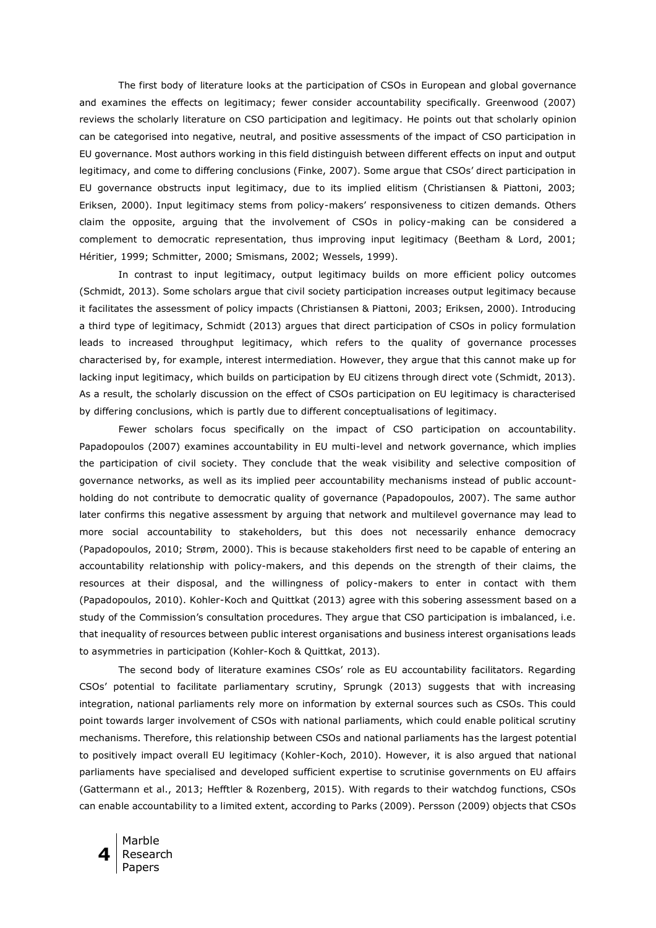The first body of literature looks at the participation of CSOs in European and global governance and examines the effects on legitimacy; fewer consider accountability specifically. Greenwood (2007) reviews the scholarly literature on CSO participation and legitimacy. He points out that scholarly opinion can be categorised into negative, neutral, and positive assessments of the impact of CSO participation in EU governance. Most authors working in this field distinguish between different effects on input and output legitimacy, and come to differing conclusions (Finke, 2007). Some argue that CSOs' direct participation in EU governance obstructs input legitimacy, due to its implied elitism (Christiansen & Piattoni, 2003; Eriksen, 2000). Input legitimacy stems from policy-makers' responsiveness to citizen demands. Others claim the opposite, arguing that the involvement of CSOs in policy-making can be considered a complement to democratic representation, thus improving input legitimacy (Beetham & Lord, 2001; Héritier, 1999; Schmitter, 2000; Smismans, 2002; Wessels, 1999).

In contrast to input legitimacy, output legitimacy builds on more efficient policy outcomes (Schmidt, 2013). Some scholars argue that civil society participation increases output legitimacy because it facilitates the assessment of policy impacts (Christiansen & Piattoni, 2003; Eriksen, 2000). Introducing a third type of legitimacy, Schmidt (2013) argues that direct participation of CSOs in policy formulation leads to increased throughput legitimacy, which refers to the quality of governance processes characterised by, for example, interest intermediation. However, they argue that this cannot make up for lacking input legitimacy, which builds on participation by EU citizens through direct vote (Schmidt, 2013). As a result, the scholarly discussion on the effect of CSOs participation on EU legitimacy is characterised by differing conclusions, which is partly due to different conceptualisations of legitimacy.

Fewer scholars focus specifically on the impact of CSO participation on accountability. Papadopoulos (2007) examines accountability in EU multi-level and network governance, which implies the participation of civil society. They conclude that the weak visibility and selective composition of governance networks, as well as its implied peer accountability mechanisms instead of public accountholding do not contribute to democratic quality of governance (Papadopoulos, 2007). The same author later confirms this negative assessment by arguing that network and multilevel governance may lead to more social accountability to stakeholders, but this does not necessarily enhance democracy (Papadopoulos, 2010; Strøm, 2000). This is because stakeholders first need to be capable of entering an accountability relationship with policy-makers, and this depends on the strength of their claims, the resources at their disposal, and the willingness of policy-makers to enter in contact with them (Papadopoulos, 2010). Kohler-Koch and Quittkat (2013) agree with this sobering assessment based on a study of the Commission's consultation procedures. They argue that CSO participation is imbalanced, i.e. that inequality of resources between public interest organisations and business interest organisations leads to asymmetries in participation (Kohler-Koch & Quittkat, 2013).

The second body of literature examines CSOs' role as EU accountability facilitators. Regarding CSOs' potential to facilitate parliamentary scrutiny, Sprungk (2013) suggests that with increasing integration, national parliaments rely more on information by external sources such as CSOs. This could point towards larger involvement of CSOs with national parliaments, which could enable political scrutiny mechanisms. Therefore, this relationship between CSOs and national parliaments has the largest potential to positively impact overall EU legitimacy (Kohler-Koch, 2010). However, it is also argued that national parliaments have specialised and developed sufficient expertise to scrutinise governments on EU affairs (Gattermann et al., 2013; Hefftler & Rozenberg, 2015). With regards to their watchdog functions, CSOs can enable accountability to a limited extent, according to Parks (2009). Persson (2009) objects that CSOs

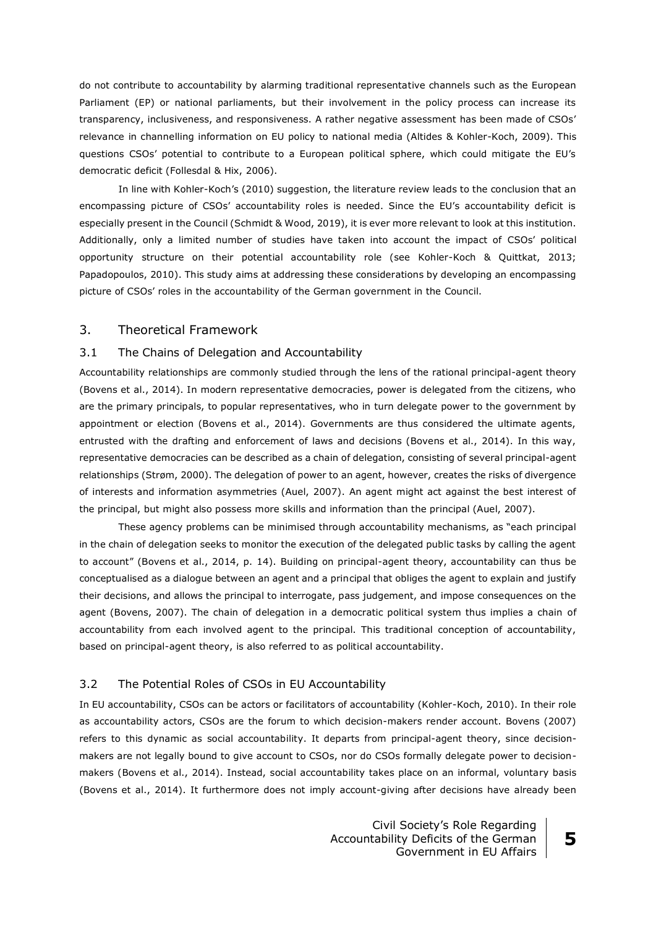do not contribute to accountability by alarming traditional representative channels such as the European Parliament (EP) or national parliaments, but their involvement in the policy process can increase its transparency, inclusiveness, and responsiveness. A rather negative assessment has been made of CSOs' relevance in channelling information on EU policy to national media (Altides & Kohler-Koch, 2009). This questions CSOs' potential to contribute to a European political sphere, which could mitigate the EU's democratic deficit (Follesdal & Hix, 2006).

In line with Kohler-Koch's (2010) suggestion, the literature review leads to the conclusion that an encompassing picture of CSOs' accountability roles is needed. Since the EU's accountability deficit is especially present in the Council (Schmidt & Wood, 2019), it is ever more relevant to look at this institution. Additionally, only a limited number of studies have taken into account the impact of CSOs' political opportunity structure on their potential accountability role (see Kohler-Koch & Quittkat, 2013; Papadopoulos, 2010). This study aims at addressing these considerations by developing an encompassing picture of CSOs' roles in the accountability of the German government in the Council.

#### 3. Theoretical Framework

#### 3.1 The Chains of Delegation and Accountability

Accountability relationships are commonly studied through the lens of the rational principal-agent theory (Bovens et al., 2014). In modern representative democracies, power is delegated from the citizens, who are the primary principals, to popular representatives, who in turn delegate power to the government by appointment or election (Bovens et al., 2014). Governments are thus considered the ultimate agents, entrusted with the drafting and enforcement of laws and decisions (Bovens et al., 2014). In this way, representative democracies can be described as a chain of delegation, consisting of several principal-agent relationships (Strøm, 2000). The delegation of power to an agent, however, creates the risks of divergence of interests and information asymmetries (Auel, 2007). An agent might act against the best interest of the principal, but might also possess more skills and information than the principal (Auel, 2007).

These agency problems can be minimised through accountability mechanisms, as "each principal in the chain of delegation seeks to monitor the execution of the delegated public tasks by calling the agent to account" (Bovens et al., 2014, p. 14). Building on principal-agent theory, accountability can thus be conceptualised as a dialogue between an agent and a principal that obliges the agent to explain and justify their decisions, and allows the principal to interrogate, pass judgement, and impose consequences on the agent (Bovens, 2007). The chain of delegation in a democratic political system thus implies a chain of accountability from each involved agent to the principal. This traditional conception of accountability, based on principal-agent theory, is also referred to as political accountability.

#### 3.2 The Potential Roles of CSOs in EU Accountability

In EU accountability, CSOs can be actors or facilitators of accountability (Kohler-Koch, 2010). In their role as accountability actors, CSOs are the forum to which decision-makers render account. Bovens (2007) refers to this dynamic as social accountability. It departs from principal-agent theory, since decisionmakers are not legally bound to give account to CSOs, nor do CSOs formally delegate power to decisionmakers (Bovens et al., 2014). Instead, social accountability takes place on an informal, voluntary basis (Bovens et al., 2014). It furthermore does not imply account-giving after decisions have already been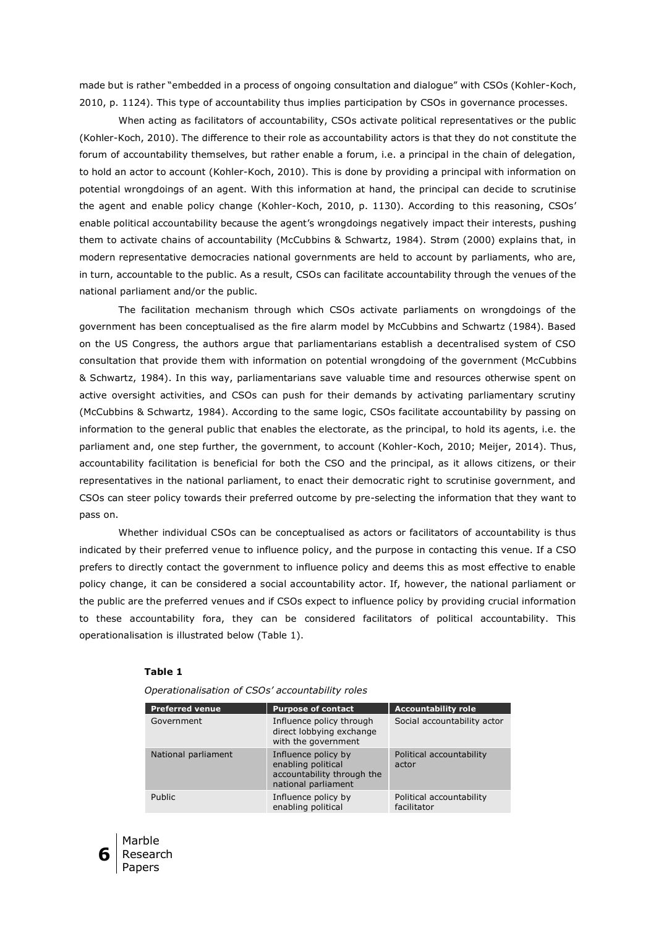made but is rather "embedded in a process of ongoing consultation and dialogue" with CSOs (Kohler-Koch, 2010, p. 1124). This type of accountability thus implies participation by CSOs in governance processes.

When acting as facilitators of accountability, CSOs activate political representatives or the public (Kohler-Koch, 2010). The difference to their role as accountability actors is that they do not constitute the forum of accountability themselves, but rather enable a forum, i.e. a principal in the chain of delegation, to hold an actor to account (Kohler-Koch, 2010). This is done by providing a principal with information on potential wrongdoings of an agent. With this information at hand, the principal can decide to scrutinise the agent and enable policy change (Kohler-Koch, 2010, p. 1130). According to this reasoning, CSOs' enable political accountability because the agent's wrongdoings negatively impact their interests, pushing them to activate chains of accountability (McCubbins & Schwartz, 1984). Strøm (2000) explains that, in modern representative democracies national governments are held to account by parliaments, who are, in turn, accountable to the public. As a result, CSOs can facilitate accountability through the venues of the national parliament and/or the public.

The facilitation mechanism through which CSOs activate parliaments on wrongdoings of the government has been conceptualised as the fire alarm model by McCubbins and Schwartz (1984). Based on the US Congress, the authors argue that parliamentarians establish a decentralised system of CSO consultation that provide them with information on potential wrongdoing of the government (McCubbins & Schwartz, 1984). In this way, parliamentarians save valuable time and resources otherwise spent on active oversight activities, and CSOs can push for their demands by activating parliamentary scrutiny (McCubbins & Schwartz, 1984). According to the same logic, CSOs facilitate accountability by passing on information to the general public that enables the electorate, as the principal, to hold its agents, i.e. the parliament and, one step further, the government, to account (Kohler-Koch, 2010; Meijer, 2014). Thus, accountability facilitation is beneficial for both the CSO and the principal, as it allows citizens, or their representatives in the national parliament, to enact their democratic right to scrutinise government, and CSOs can steer policy towards their preferred outcome by pre-selecting the information that they want to pass on.

Whether individual CSOs can be conceptualised as actors or facilitators of accountability is thus indicated by their preferred venue to influence policy, and the purpose in contacting this venue. If a CSO prefers to directly contact the government to influence policy and deems this as most effective to enable policy change, it can be considered a social accountability actor. If, however, the national parliament or the public are the preferred venues and if CSOs expect to influence policy by providing crucial information to these accountability fora, they can be considered facilitators of political accountability. This operationalisation is illustrated below (Table 1).

#### **Table 1**

| <b>Preferred venue</b> | <b>Purpose of contact</b>                                                                      | <b>Accountability role</b>              |
|------------------------|------------------------------------------------------------------------------------------------|-----------------------------------------|
| Government             | Influence policy through<br>direct lobbying exchange<br>with the government                    | Social accountability actor             |
| National parliament    | Influence policy by<br>enabling political<br>accountability through the<br>national parliament | Political accountability<br>actor       |
| Public                 | Influence policy by<br>enabling political                                                      | Political accountability<br>facilitator |

 *Operationalisation of CSOs' accountability roles*

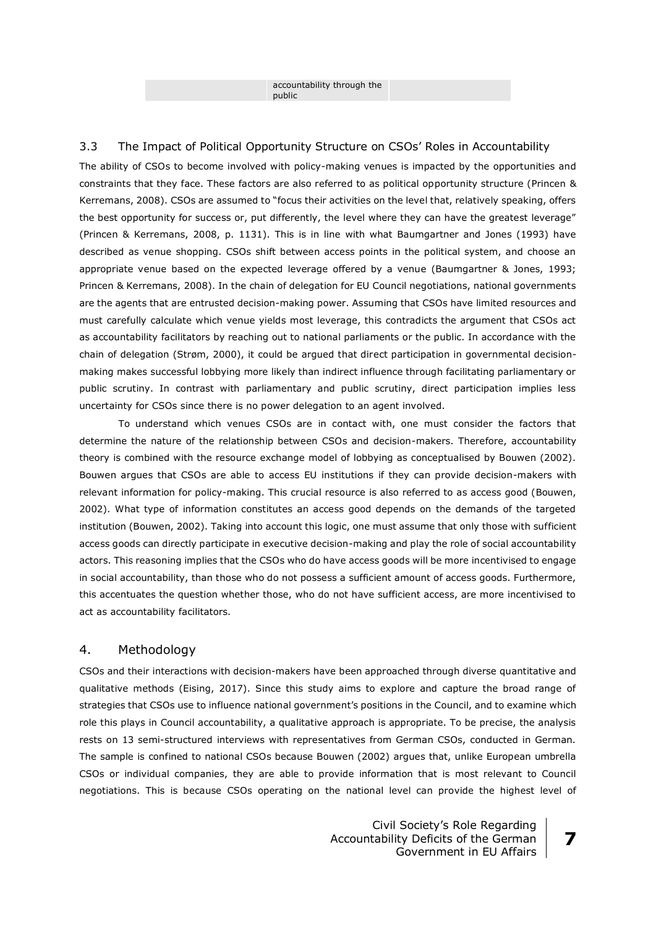accountability through the public

## 3.3 The Impact of Political Opportunity Structure on CSOs' Roles in Accountability

The ability of CSOs to become involved with policy-making venues is impacted by the opportunities and constraints that they face. These factors are also referred to as political opportunity structure (Princen & Kerremans, 2008). CSOs are assumed to "focus their activities on the level that, relatively speaking, offers the best opportunity for success or, put differently, the level where they can have the greatest leverage" (Princen & Kerremans, 2008, p. 1131). This is in line with what Baumgartner and Jones (1993) have described as venue shopping. CSOs shift between access points in the political system, and choose an appropriate venue based on the expected leverage offered by a venue (Baumgartner & Jones, 1993; Princen & Kerremans, 2008). In the chain of delegation for EU Council negotiations, national governments are the agents that are entrusted decision-making power. Assuming that CSOs have limited resources and must carefully calculate which venue yields most leverage, this contradicts the argument that CSOs act as accountability facilitators by reaching out to national parliaments or the public. In accordance with the chain of delegation (Strøm, 2000), it could be argued that direct participation in governmental decisionmaking makes successful lobbying more likely than indirect influence through facilitating parliamentary or public scrutiny. In contrast with parliamentary and public scrutiny, direct participation implies less uncertainty for CSOs since there is no power delegation to an agent involved.

To understand which venues CSOs are in contact with, one must consider the factors that determine the nature of the relationship between CSOs and decision-makers. Therefore, accountability theory is combined with the resource exchange model of lobbying as conceptualised by Bouwen (2002). Bouwen argues that CSOs are able to access EU institutions if they can provide decision-makers with relevant information for policy-making. This crucial resource is also referred to as access good (Bouwen, 2002). What type of information constitutes an access good depends on the demands of the targeted institution (Bouwen, 2002). Taking into account this logic, one must assume that only those with sufficient access goods can directly participate in executive decision-making and play the role of social accountability actors. This reasoning implies that the CSOs who do have access goods will be more incentivised to engage in social accountability, than those who do not possess a sufficient amount of access goods. Furthermore, this accentuates the question whether those, who do not have sufficient access, are more incentivised to act as accountability facilitators.

## 4. Methodology

CSOs and their interactions with decision-makers have been approached through diverse quantitative and qualitative methods (Eising, 2017). Since this study aims to explore and capture the broad range of strategies that CSOs use to influence national government's positions in the Council, and to examine which role this plays in Council accountability, a qualitative approach is appropriate. To be precise, the analysis rests on 13 semi-structured interviews with representatives from German CSOs, conducted in German. The sample is confined to national CSOs because Bouwen (2002) argues that, unlike European umbrella CSOs or individual companies, they are able to provide information that is most relevant to Council negotiations. This is because CSOs operating on the national level can provide the highest level of

> Civil Society's Role Regarding Accountability Deficits of the German Government in EU Affairs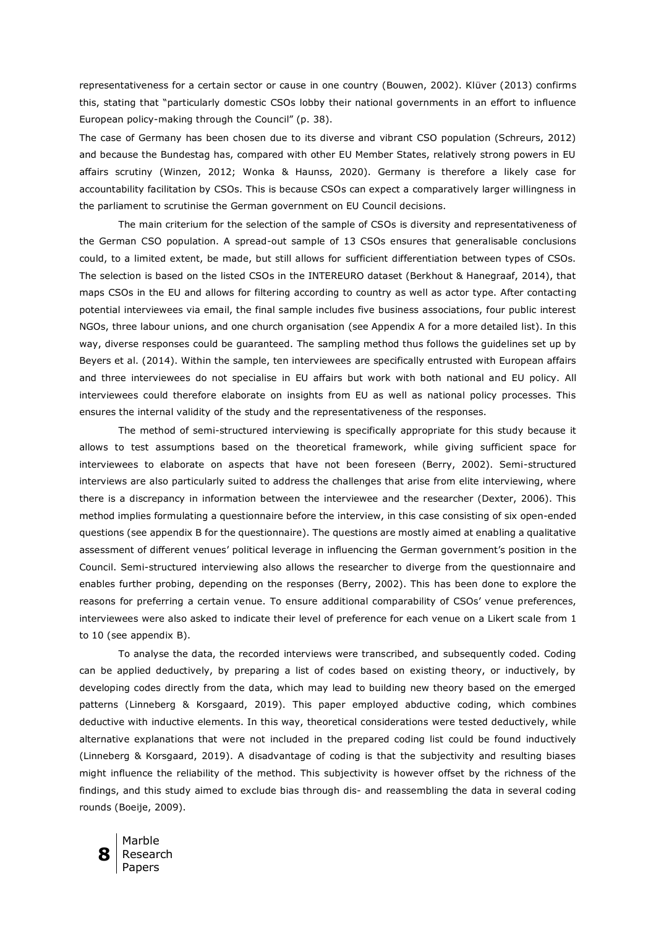representativeness for a certain sector or cause in one country (Bouwen, 2002). Klüver (2013) confirms this, stating that "particularly domestic CSOs lobby their national governments in an effort to influence European policy-making through the Council" (p. 38).

The case of Germany has been chosen due to its diverse and vibrant CSO population (Schreurs, 2012) and because the Bundestag has, compared with other EU Member States, relatively strong powers in EU affairs scrutiny (Winzen, 2012; Wonka & Haunss, 2020). Germany is therefore a likely case for accountability facilitation by CSOs. This is because CSOs can expect a comparatively larger willingness in the parliament to scrutinise the German government on EU Council decisions.

The main criterium for the selection of the sample of CSOs is diversity and representativeness of the German CSO population. A spread-out sample of 13 CSOs ensures that generalisable conclusions could, to a limited extent, be made, but still allows for sufficient differentiation between types of CSOs. The selection is based on the listed CSOs in the INTEREURO dataset (Berkhout & Hanegraaf, 2014), that maps CSOs in the EU and allows for filtering according to country as well as actor type. After contacting potential interviewees via email, the final sample includes five business associations, four public interest NGOs, three labour unions, and one church organisation (see Appendix A for a more detailed list). In this way, diverse responses could be guaranteed. The sampling method thus follows the guidelines set up by Beyers et al. (2014). Within the sample, ten interviewees are specifically entrusted with European affairs and three interviewees do not specialise in EU affairs but work with both national and EU policy. All interviewees could therefore elaborate on insights from EU as well as national policy processes. This ensures the internal validity of the study and the representativeness of the responses.

The method of semi-structured interviewing is specifically appropriate for this study because it allows to test assumptions based on the theoretical framework, while giving sufficient space for interviewees to elaborate on aspects that have not been foreseen (Berry, 2002). Semi-structured interviews are also particularly suited to address the challenges that arise from elite interviewing, where there is a discrepancy in information between the interviewee and the researcher (Dexter, 2006). This method implies formulating a questionnaire before the interview, in this case consisting of six open-ended questions (see appendix B for the questionnaire). The questions are mostly aimed at enabling a qualitative assessment of different venues' political leverage in influencing the German government's position in the Council. Semi-structured interviewing also allows the researcher to diverge from the questionnaire and enables further probing, depending on the responses (Berry, 2002). This has been done to explore the reasons for preferring a certain venue. To ensure additional comparability of CSOs' venue preferences, interviewees were also asked to indicate their level of preference for each venue on a Likert scale from 1 to 10 (see appendix B).

To analyse the data, the recorded interviews were transcribed, and subsequently coded. Coding can be applied deductively, by preparing a list of codes based on existing theory, or inductively, by developing codes directly from the data, which may lead to building new theory based on the emerged patterns (Linneberg & Korsgaard, 2019). This paper employed abductive coding, which combines deductive with inductive elements. In this way, theoretical considerations were tested deductively, while alternative explanations that were not included in the prepared coding list could be found inductively (Linneberg & Korsgaard, 2019). A disadvantage of coding is that the subjectivity and resulting biases might influence the reliability of the method. This subjectivity is however offset by the richness of the findings, and this study aimed to exclude bias through dis- and reassembling the data in several coding rounds (Boeije, 2009).

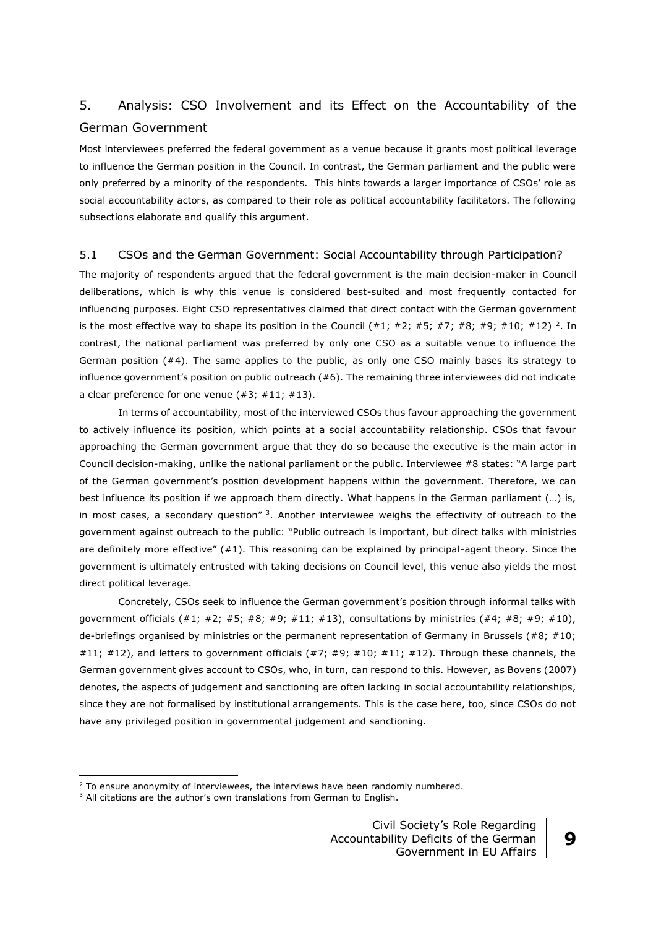## 5. Analysis: CSO Involvement and its Effect on the Accountability of the German Government

Most interviewees preferred the federal government as a venue because it grants most political leverage to influence the German position in the Council. In contrast, the German parliament and the public were only preferred by a minority of the respondents. This hints towards a larger importance of CSOs' role as social accountability actors, as compared to their role as political accountability facilitators. The following subsections elaborate and qualify this argument.

## 5.1 CSOs and the German Government: Social Accountability through Participation?

The majority of respondents argued that the federal government is the main decision-maker in Council deliberations, which is why this venue is considered best-suited and most frequently contacted for influencing purposes. Eight CSO representatives claimed that direct contact with the German government is the most effective way to shape its position in the Council  $( #1; #2; #5; #7; #8; #9; #10; #12)$ <sup>2</sup>. In contrast, the national parliament was preferred by only one CSO as a suitable venue to influence the German position (#4). The same applies to the public, as only one CSO mainly bases its strategy to influence government's position on public outreach (#6). The remaining three interviewees did not indicate a clear preference for one venue  $(*3; #11; #13).$ 

In terms of accountability, most of the interviewed CSOs thus favour approaching the government to actively influence its position, which points at a social accountability relationship. CSOs that favour approaching the German government argue that they do so because the executive is the main actor in Council decision-making, unlike the national parliament or the public. Interviewee #8 states: "A large part of the German government's position development happens within the government. Therefore, we can best influence its position if we approach them directly. What happens in the German parliament (...) is, in most cases, a secondary question"  $3$ . Another interviewee weighs the effectivity of outreach to the government against outreach to the public: "Public outreach is important, but direct talks with ministries are definitely more effective" (#1). This reasoning can be explained by principal-agent theory. Since the government is ultimately entrusted with taking decisions on Council level, this venue also yields the most direct political leverage.

Concretely, CSOs seek to influence the German government's position through informal talks with government officials  $(#1; #2; #5; #8; #9; #11; #13)$ , consultations by ministries  $(*4; #8; #9; #10)$ , de-briefings organised by ministries or the permanent representation of Germany in Brussels (#8; #10; #11; #12), and letters to government officials  $(47; 49; 410; 411; 412)$ . Through these channels, the German government gives account to CSOs, who, in turn, can respond to this. However, as Bovens (2007) denotes, the aspects of judgement and sanctioning are often lacking in social accountability relationships, since they are not formalised by institutional arrangements. This is the case here, too, since CSOs do not have any privileged position in governmental judgement and sanctioning.

<u>.</u>

 $2$  To ensure anonymity of interviewees, the interviews have been randomly numbered.

<sup>&</sup>lt;sup>3</sup> All citations are the author's own translations from German to English.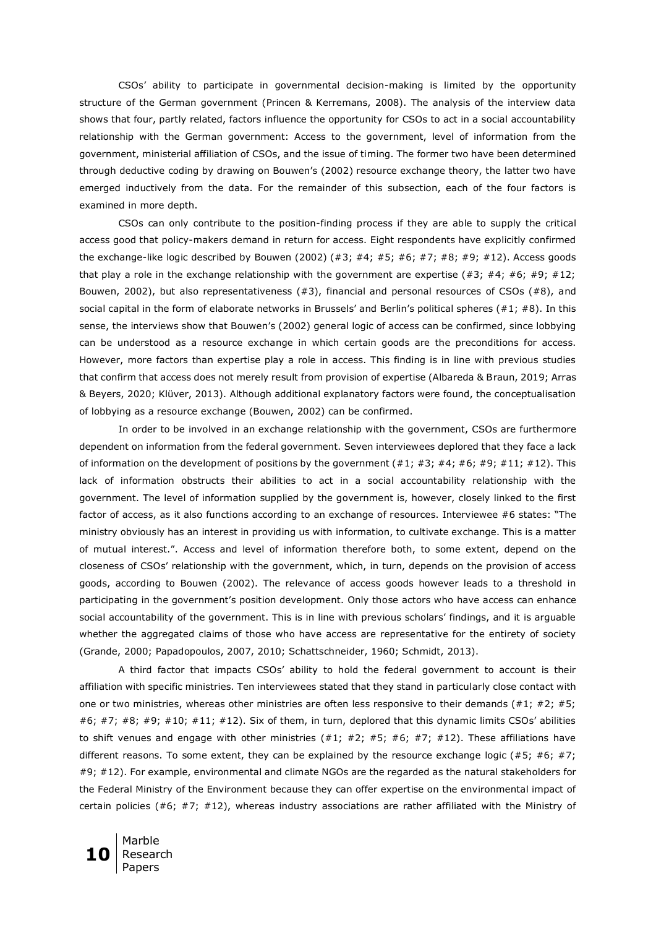CSOs' ability to participate in governmental decision-making is limited by the opportunity structure of the German government (Princen & Kerremans, 2008). The analysis of the interview data shows that four, partly related, factors influence the opportunity for CSOs to act in a social accountability relationship with the German government: Access to the government, level of information from the government, ministerial affiliation of CSOs, and the issue of timing. The former two have been determined through deductive coding by drawing on Bouwen's (2002) resource exchange theory, the latter two have emerged inductively from the data. For the remainder of this subsection, each of the four factors is examined in more depth.

CSOs can only contribute to the position-finding process if they are able to supply the critical access good that policy-makers demand in return for access. Eight respondents have explicitly confirmed the exchange-like logic described by Bouwen (2002)  $(#3; #4; #5; #6; #7; #8; #9; #12)$ . Access goods that play a role in the exchange relationship with the government are expertise  $(#3; #4; #6; #9; #12;$ Bouwen, 2002), but also representativeness  $(#3)$ , financial and personal resources of CSOs  $(#8)$ , and social capital in the form of elaborate networks in Brussels' and Berlin's political spheres (#1; #8). In this sense, the interviews show that Bouwen's (2002) general logic of access can be confirmed, since lobbying can be understood as a resource exchange in which certain goods are the preconditions for access. However, more factors than expertise play a role in access. This finding is in line with previous studies that confirm that access does not merely result from provision of expertise (Albareda & Braun, 2019; Arras & Beyers, 2020; Klüver, 2013). Although additional explanatory factors were found, the conceptualisation of lobbying as a resource exchange (Bouwen, 2002) can be confirmed.

In order to be involved in an exchange relationship with the government, CSOs are furthermore dependent on information from the federal government. Seven interviewees deplored that they face a lack of information on the development of positions by the government  $(#1; #3; #4; #6; #9; #11; #12)$ . This lack of information obstructs their abilities to act in a social accountability relationship with the government. The level of information supplied by the government is, however, closely linked to the first factor of access, as it also functions according to an exchange of resources. Interviewee #6 states: "The ministry obviously has an interest in providing us with information, to cultivate exchange. This is a matter of mutual interest.". Access and level of information therefore both, to some extent, depend on the closeness of CSOs' relationship with the government, which, in turn, depends on the provision of access goods, according to Bouwen (2002). The relevance of access goods however leads to a threshold in participating in the government's position development. Only those actors who have access can enhance social accountability of the government. This is in line with previous scholars' findings, and it is arguable whether the aggregated claims of those who have access are representative for the entirety of society (Grande, 2000; Papadopoulos, 2007, 2010; Schattschneider, 1960; Schmidt, 2013).

A third factor that impacts CSOs' ability to hold the federal government to account is their affiliation with specific ministries. Ten interviewees stated that they stand in particularly close contact with one or two ministries, whereas other ministries are often less responsive to their demands (#1; #2; #5;  $#6; #7; #8; #9; #10; #11; #12)$ . Six of them, in turn, deplored that this dynamic limits CSOs' abilities to shift venues and engage with other ministries  $(#1; #2; #5; #6; #7; #12)$ . These affiliations have different reasons. To some extent, they can be explained by the resource exchange logic (#5; #6; #7; #9; #12). For example, environmental and climate NGOs are the regarded as the natural stakeholders for the Federal Ministry of the Environment because they can offer expertise on the environmental impact of certain policies (#6; #7; #12), whereas industry associations are rather affiliated with the Ministry of

**10** Marble Research Papers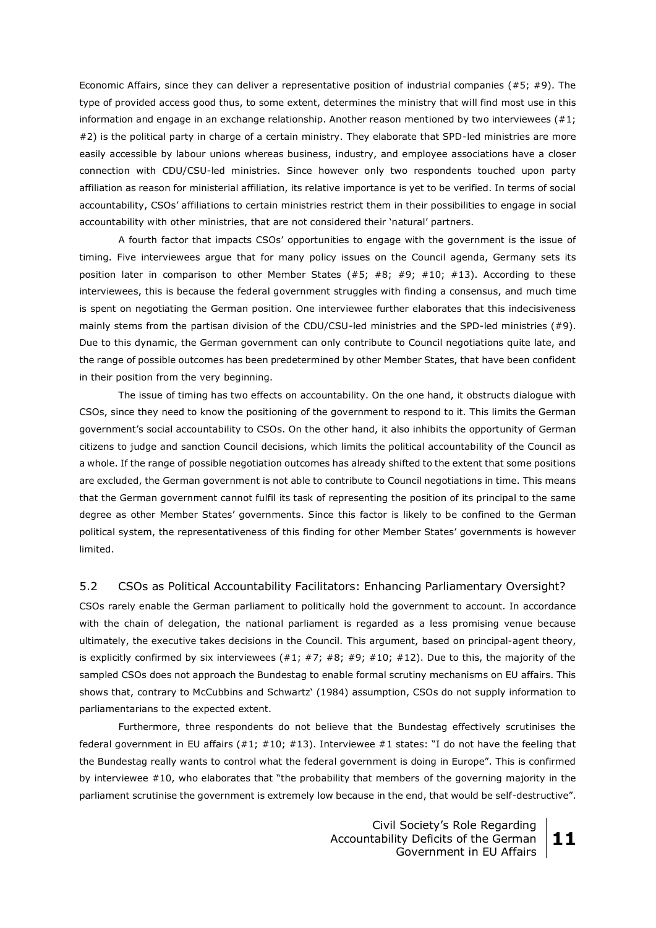Economic Affairs, since they can deliver a representative position of industrial companies (#5; #9). The type of provided access good thus, to some extent, determines the ministry that will find most use in this information and engage in an exchange relationship. Another reason mentioned by two interviewees (#1; #2) is the political party in charge of a certain ministry. They elaborate that SPD-led ministries are more easily accessible by labour unions whereas business, industry, and employee associations have a closer connection with CDU/CSU-led ministries. Since however only two respondents touched upon party affiliation as reason for ministerial affiliation, its relative importance is yet to be verified. In terms of social accountability, CSOs' affiliations to certain ministries restrict them in their possibilities to engage in social accountability with other ministries, that are not considered their 'natural' partners.

A fourth factor that impacts CSOs' opportunities to engage with the government is the issue of timing. Five interviewees argue that for many policy issues on the Council agenda, Germany sets its position later in comparison to other Member States (#5; #8; #9; #10; #13). According to these interviewees, this is because the federal government struggles with finding a consensus, and much time is spent on negotiating the German position. One interviewee further elaborates that this indecisiveness mainly stems from the partisan division of the CDU/CSU-led ministries and the SPD-led ministries (#9). Due to this dynamic, the German government can only contribute to Council negotiations quite late, and the range of possible outcomes has been predetermined by other Member States, that have been confident in their position from the very beginning.

The issue of timing has two effects on accountability. On the one hand, it obstructs dialogue with CSOs, since they need to know the positioning of the government to respond to it. This limits the German government's social accountability to CSOs. On the other hand, it also inhibits the opportunity of German citizens to judge and sanction Council decisions, which limits the political accountability of the Council as a whole. If the range of possible negotiation outcomes has already shifted to the extent that some positions are excluded, the German government is not able to contribute to Council negotiations in time. This means that the German government cannot fulfil its task of representing the position of its principal to the same degree as other Member States' governments. Since this factor is likely to be confined to the German political system, the representativeness of this finding for other Member States' governments is however limited.

## 5.2 CSOs as Political Accountability Facilitators: Enhancing Parliamentary Oversight?

CSOs rarely enable the German parliament to politically hold the government to account. In accordance with the chain of delegation, the national parliament is regarded as a less promising venue because ultimately, the executive takes decisions in the Council. This argument, based on principal-agent theory, is explicitly confirmed by six interviewees  $(#1; #7; #8; #9; #10; #12)$ . Due to this, the majority of the sampled CSOs does not approach the Bundestag to enable formal scrutiny mechanisms on EU affairs. This shows that, contrary to McCubbins and Schwartz' (1984) assumption, CSOs do not supply information to parliamentarians to the expected extent.

Furthermore, three respondents do not believe that the Bundestag effectively scrutinises the federal government in EU affairs (#1; #10; #13). Interviewee #1 states: "I do not have the feeling that the Bundestag really wants to control what the federal government is doing in Europe". This is confirmed by interviewee #10, who elaborates that "the probability that members of the governing majority in the parliament scrutinise the government is extremely low because in the end, that would be self-destructive".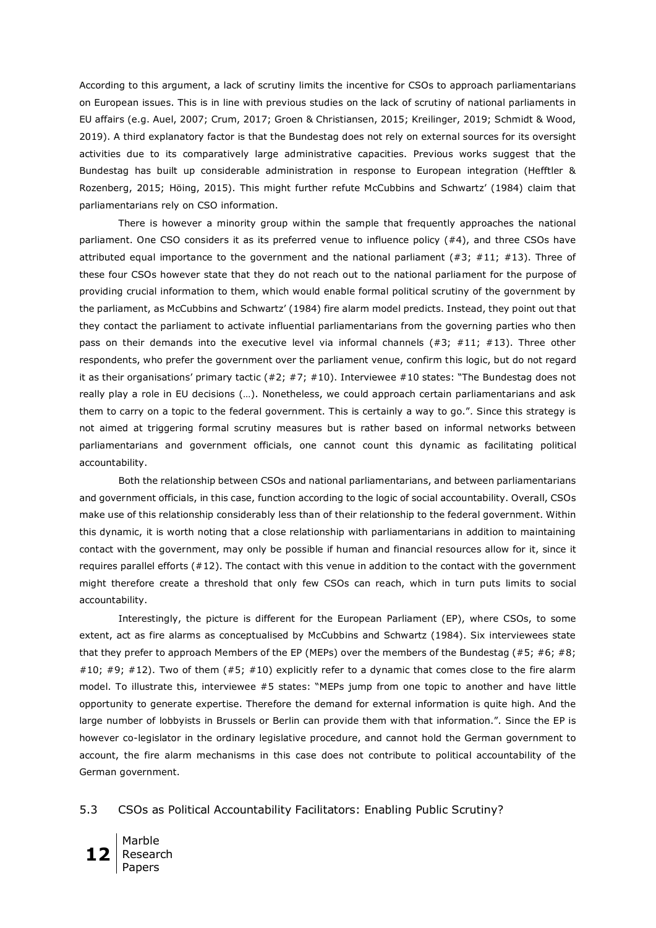According to this argument, a lack of scrutiny limits the incentive for CSOs to approach parliamentarians on European issues. This is in line with previous studies on the lack of scrutiny of national parliaments in EU affairs (e.g. Auel, 2007; Crum, 2017; Groen & Christiansen, 2015; Kreilinger, 2019; Schmidt & Wood, 2019). A third explanatory factor is that the Bundestag does not rely on external sources for its oversight activities due to its comparatively large administrative capacities. Previous works suggest that the Bundestag has built up considerable administration in response to European integration (Hefftler & Rozenberg, 2015; Höing, 2015). This might further refute McCubbins and Schwartz' (1984) claim that parliamentarians rely on CSO information.

There is however a minority group within the sample that frequently approaches the national parliament. One CSO considers it as its preferred venue to influence policy (#4), and three CSOs have attributed equal importance to the government and the national parliament  $(#3; #11; #13)$ . Three of these four CSOs however state that they do not reach out to the national parliament for the purpose of providing crucial information to them, which would enable formal political scrutiny of the government by the parliament, as McCubbins and Schwartz' (1984) fire alarm model predicts. Instead, they point out that they contact the parliament to activate influential parliamentarians from the governing parties who then pass on their demands into the executive level via informal channels  $(#3; #11; #13)$ . Three other respondents, who prefer the government over the parliament venue, confirm this logic, but do not regard it as their organisations' primary tactic (#2; #7; #10). Interviewee #10 states: "The Bundestag does not really play a role in EU decisions (…). Nonetheless, we could approach certain parliamentarians and ask them to carry on a topic to the federal government. This is certainly a way to go.". Since this strategy is not aimed at triggering formal scrutiny measures but is rather based on informal networks between parliamentarians and government officials, one cannot count this dynamic as facilitating political accountability.

Both the relationship between CSOs and national parliamentarians, and between parliamentarians and government officials, in this case, function according to the logic of social accountability. Overall, CSOs make use of this relationship considerably less than of their relationship to the federal government. Within this dynamic, it is worth noting that a close relationship with parliamentarians in addition to maintaining contact with the government, may only be possible if human and financial resources allow for it, since it requires parallel efforts (#12). The contact with this venue in addition to the contact with the government might therefore create a threshold that only few CSOs can reach, which in turn puts limits to social accountability.

Interestingly, the picture is different for the European Parliament (EP), where CSOs, to some extent, act as fire alarms as conceptualised by McCubbins and Schwartz (1984). Six interviewees state that they prefer to approach Members of the EP (MEPs) over the members of the Bundestag (#5; #6; #8; #10; #9; #12). Two of them  $(#5; #10)$  explicitly refer to a dynamic that comes close to the fire alarm model. To illustrate this, interviewee #5 states: "MEPs jump from one topic to another and have little opportunity to generate expertise. Therefore the demand for external information is quite high. And the large number of lobbyists in Brussels or Berlin can provide them with that information.". Since the EP is however co-legislator in the ordinary legislative procedure, and cannot hold the German government to account, the fire alarm mechanisms in this case does not contribute to political accountability of the German government.

#### 5.3 CSOs as Political Accountability Facilitators: Enabling Public Scrutiny?

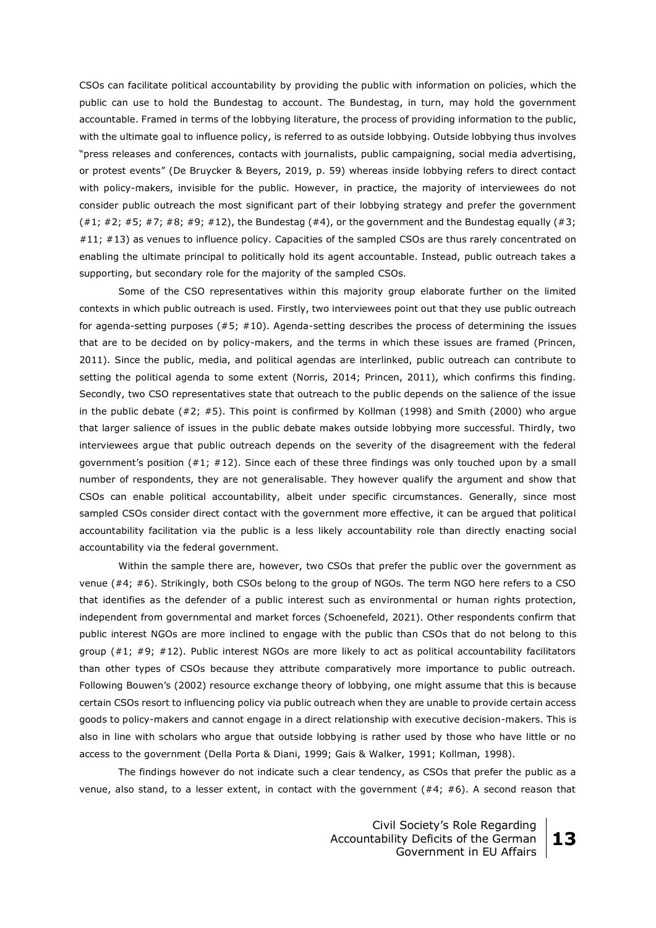CSOs can facilitate political accountability by providing the public with information on policies, which the public can use to hold the Bundestag to account. The Bundestag, in turn, may hold the government accountable. Framed in terms of the lobbying literature, the process of providing information to the public, with the ultimate goal to influence policy, is referred to as outside lobbying. Outside lobbying thus involves "press releases and conferences, contacts with journalists, public campaigning, social media advertising, or protest events" (De Bruycker & Beyers, 2019, p. 59) whereas inside lobbying refers to direct contact with policy-makers, invisible for the public. However, in practice, the majority of interviewees do not consider public outreach the most significant part of their lobbying strategy and prefer the government  $(41; 42; 45; 47; 48; 49; 41)$ , the Bundestag  $(44)$ , or the government and the Bundestag equally  $(43; 42; 43)$ #11; #13) as venues to influence policy. Capacities of the sampled CSOs are thus rarely concentrated on enabling the ultimate principal to politically hold its agent accountable. Instead, public outreach takes a supporting, but secondary role for the majority of the sampled CSOs.

Some of the CSO representatives within this majority group elaborate further on the limited contexts in which public outreach is used. Firstly, two interviewees point out that they use public outreach for agenda-setting purposes  $(#5; #10)$ . Agenda-setting describes the process of determining the issues that are to be decided on by policy-makers, and the terms in which these issues are framed (Princen, 2011). Since the public, media, and political agendas are interlinked, public outreach can contribute to setting the political agenda to some extent (Norris, 2014; Princen, 2011), which confirms this finding. Secondly, two CSO representatives state that outreach to the public depends on the salience of the issue in the public debate (#2; #5). This point is confirmed by Kollman (1998) and Smith (2000) who argue that larger salience of issues in the public debate makes outside lobbying more successful. Thirdly, two interviewees argue that public outreach depends on the severity of the disagreement with the federal government's position (#1; #12). Since each of these three findings was only touched upon by a small number of respondents, they are not generalisable. They however qualify the argument and show that CSOs can enable political accountability, albeit under specific circumstances. Generally, since most sampled CSOs consider direct contact with the government more effective, it can be argued that political accountability facilitation via the public is a less likely accountability role than directly enacting social accountability via the federal government.

Within the sample there are, however, two CSOs that prefer the public over the government as venue (#4; #6). Strikingly, both CSOs belong to the group of NGOs. The term NGO here refers to a CSO that identifies as the defender of a public interest such as environmental or human rights protection, independent from governmental and market forces (Schoenefeld, 2021). Other respondents confirm that public interest NGOs are more inclined to engage with the public than CSOs that do not belong to this group (#1; #9; #12). Public interest NGOs are more likely to act as political accountability facilitators than other types of CSOs because they attribute comparatively more importance to public outreach. Following Bouwen's (2002) resource exchange theory of lobbying, one might assume that this is because certain CSOs resort to influencing policy via public outreach when they are unable to provide certain access goods to policy-makers and cannot engage in a direct relationship with executive decision-makers. This is also in line with scholars who argue that outside lobbying is rather used by those who have little or no access to the government (Della Porta & Diani, 1999; Gais & Walker, 1991; Kollman, 1998).

The findings however do not indicate such a clear tendency, as CSOs that prefer the public as a venue, also stand, to a lesser extent, in contact with the government  $(44; 46)$ . A second reason that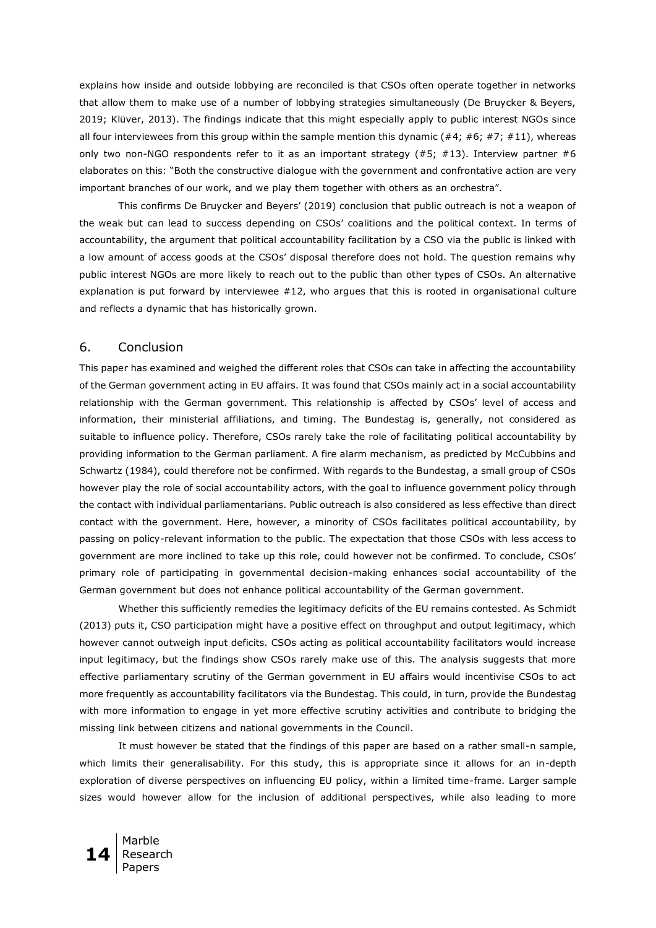explains how inside and outside lobbying are reconciled is that CSOs often operate together in networks that allow them to make use of a number of lobbying strategies simultaneously (De Bruycker & Beyers, 2019; Klüver, 2013). The findings indicate that this might especially apply to public interest NGOs since all four interviewees from this group within the sample mention this dynamic (#4; #6; #7; #11), whereas only two non-NGO respondents refer to it as an important strategy  $(#5; #13)$ . Interview partner  $#6$ elaborates on this: "Both the constructive dialogue with the government and confrontative action are very important branches of our work, and we play them together with others as an orchestra".

This confirms De Bruycker and Beyers' (2019) conclusion that public outreach is not a weapon of the weak but can lead to success depending on CSOs' coalitions and the political context. In terms of accountability, the argument that political accountability facilitation by a CSO via the public is linked with a low amount of access goods at the CSOs' disposal therefore does not hold. The question remains why public interest NGOs are more likely to reach out to the public than other types of CSOs. An alternative explanation is put forward by interviewee #12, who argues that this is rooted in organisational culture and reflects a dynamic that has historically grown.

### 6. Conclusion

This paper has examined and weighed the different roles that CSOs can take in affecting the accountability of the German government acting in EU affairs. It was found that CSOs mainly act in a social accountability relationship with the German government. This relationship is affected by CSOs' level of access and information, their ministerial affiliations, and timing. The Bundestag is, generally, not considered as suitable to influence policy. Therefore, CSOs rarely take the role of facilitating political accountability by providing information to the German parliament. A fire alarm mechanism, as predicted by McCubbins and Schwartz (1984), could therefore not be confirmed. With regards to the Bundestag, a small group of CSOs however play the role of social accountability actors, with the goal to influence government policy through the contact with individual parliamentarians. Public outreach is also considered as less effective than direct contact with the government. Here, however, a minority of CSOs facilitates political accountability, by passing on policy-relevant information to the public. The expectation that those CSOs with less access to government are more inclined to take up this role, could however not be confirmed. To conclude, CSOs' primary role of participating in governmental decision-making enhances social accountability of the German government but does not enhance political accountability of the German government.

Whether this sufficiently remedies the legitimacy deficits of the EU remains contested. As Schmidt (2013) puts it, CSO participation might have a positive effect on throughput and output legitimacy, which however cannot outweigh input deficits. CSOs acting as political accountability facilitators would increase input legitimacy, but the findings show CSOs rarely make use of this. The analysis suggests that more effective parliamentary scrutiny of the German government in EU affairs would incentivise CSOs to act more frequently as accountability facilitators via the Bundestag. This could, in turn, provide the Bundestag with more information to engage in yet more effective scrutiny activities and contribute to bridging the missing link between citizens and national governments in the Council.

It must however be stated that the findings of this paper are based on a rather small-n sample, which limits their generalisability. For this study, this is appropriate since it allows for an in-depth exploration of diverse perspectives on influencing EU policy, within a limited time-frame. Larger sample sizes would however allow for the inclusion of additional perspectives, while also leading to more

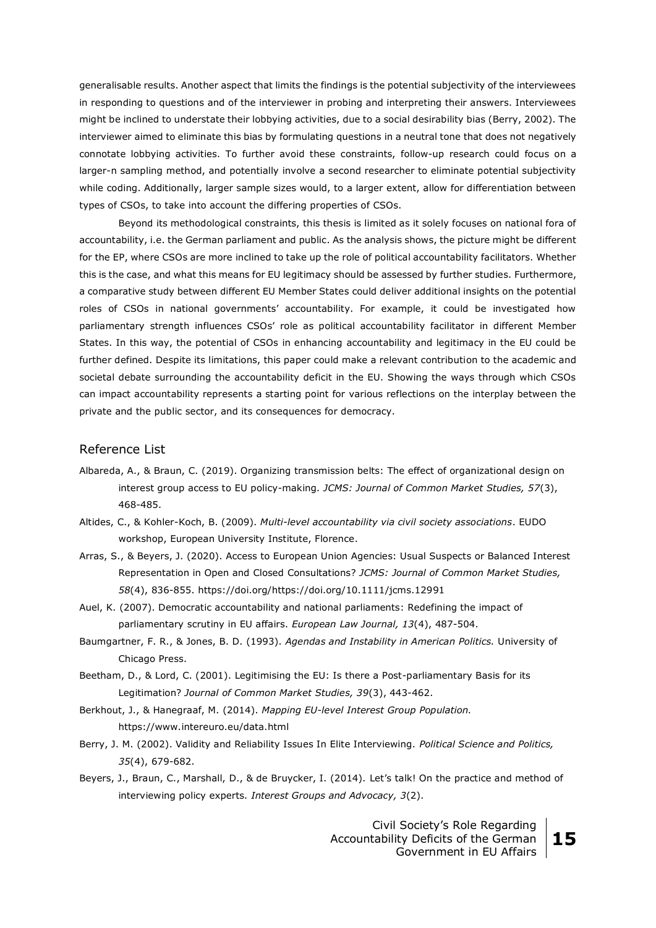generalisable results. Another aspect that limits the findings is the potential subjectivity of the interviewees in responding to questions and of the interviewer in probing and interpreting their answers. Interviewees might be inclined to understate their lobbying activities, due to a social desirability bias (Berry, 2002). The interviewer aimed to eliminate this bias by formulating questions in a neutral tone that does not negatively connotate lobbying activities. To further avoid these constraints, follow-up research could focus on a larger-n sampling method, and potentially involve a second researcher to eliminate potential subjectivity while coding. Additionally, larger sample sizes would, to a larger extent, allow for differentiation between types of CSOs, to take into account the differing properties of CSOs.

Beyond its methodological constraints, this thesis is limited as it solely focuses on national fora of accountability, i.e. the German parliament and public. As the analysis shows, the picture might be different for the EP, where CSOs are more inclined to take up the role of political accountability facilitators. Whether this is the case, and what this means for EU legitimacy should be assessed by further studies. Furthermore, a comparative study between different EU Member States could deliver additional insights on the potential roles of CSOs in national governments' accountability. For example, it could be investigated how parliamentary strength influences CSOs' role as political accountability facilitator in different Member States. In this way, the potential of CSOs in enhancing accountability and legitimacy in the EU could be further defined. Despite its limitations, this paper could make a relevant contribution to the academic and societal debate surrounding the accountability deficit in the EU. Showing the ways through which CSOs can impact accountability represents a starting point for various reflections on the interplay between the private and the public sector, and its consequences for democracy.

#### Reference List

- Albareda, A., & Braun, C. (2019). Organizing transmission belts: The effect of organizational design on interest group access to EU policy-making. *JCMS: Journal of Common Market Studies, 57*(3), 468-485.
- Altides, C., & Kohler-Koch, B. (2009). *Multi-level accountability via civil society associations*. EUDO workshop, European University Institute, Florence.
- Arras, S., & Beyers, J. (2020). Access to European Union Agencies: Usual Suspects or Balanced Interest Representation in Open and Closed Consultations? *JCMS: Journal of Common Market Studies, 58*(4), 836-855. https://doi.org/https://doi.org/10.1111/jcms.12991
- Auel, K. (2007). Democratic accountability and national parliaments: Redefining the impact of parliamentary scrutiny in EU affairs. *European Law Journal, 13*(4), 487-504.
- Baumgartner, F. R., & Jones, B. D. (1993). *Agendas and Instability in American Politics.* University of Chicago Press.
- Beetham, D., & Lord, C. (2001). Legitimising the EU: Is there a Post-parliamentary Basis for its Legitimation? *Journal of Common Market Studies, 39*(3), 443-462.
- Berkhout, J., & Hanegraaf, M. (2014). *Mapping EU-level Interest Group Population.* https://www.intereuro.eu/data.html
- Berry, J. M. (2002). Validity and Reliability Issues In Elite Interviewing*. Political Science and Politics, 35*(4), 679-682.
- Beyers, J., Braun, C., Marshall, D., & de Bruycker, I. (2014). Let's talk! On the practice and method of interviewing policy experts. *Interest Groups and Advocacy, 3*(2).

Civil Society's Role Regarding Accountability Deficits of the German Government in EU Affairs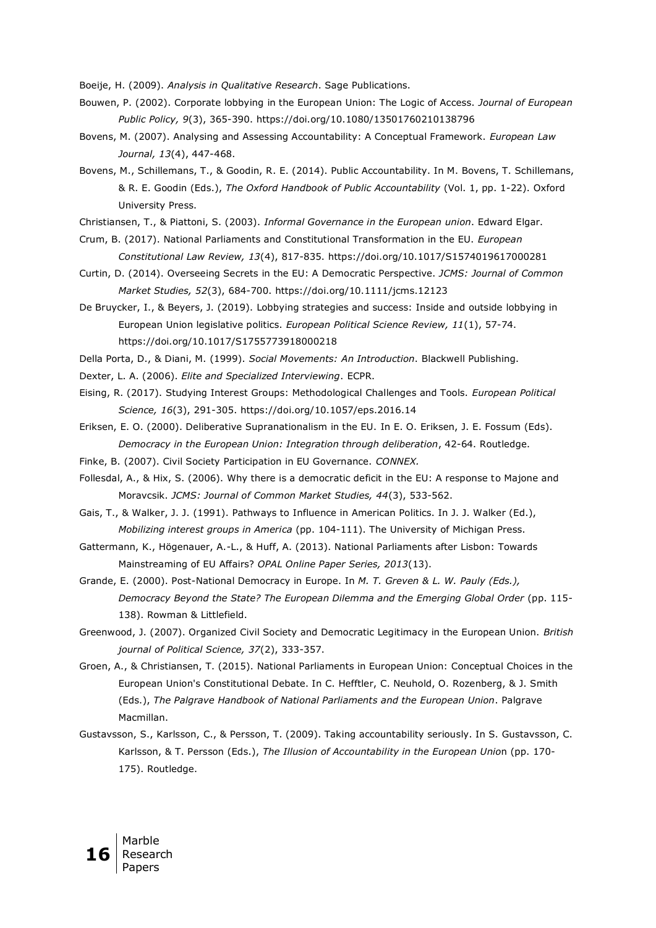Boeije, H. (2009). *Analysis in Qualitative Research*. Sage Publications.

- Bouwen, P. (2002). Corporate lobbying in the European Union: The Logic of Access. *Journal of European Public Policy, 9*(3), 365-390. https://doi.org/10.1080/13501760210138796
- Bovens, M. (2007). Analysing and Assessing Accountability: A Conceptual Framework. *European Law Journal, 13*(4), 447-468.
- Bovens, M., Schillemans, T., & Goodin, R. E. (2014). Public Accountability. In M. Bovens, T. Schillemans, & R. E. Goodin (Eds.), *The Oxford Handbook of Public Accountability* (Vol. 1, pp. 1-22). Oxford University Press.
- Christiansen, T., & Piattoni, S. (2003). *Informal Governance in the European union*. Edward Elgar.
- Crum, B. (2017). National Parliaments and Constitutional Transformation in the EU. *European Constitutional Law Review, 13*(4), 817-835. https://doi.org/10.1017/S1574019617000281
- Curtin, D. (2014). Overseeing Secrets in the EU: A Democratic Perspective. *JCMS: Journal of Common Market Studies, 52*(3), 684-700. https://doi.org/10.1111/jcms.12123
- De Bruycker, I., & Beyers, J. (2019). Lobbying strategies and success: Inside and outside lobbying in European Union legislative politics. *European Political Science Review, 11*(1), 57-74. https://doi.org/10.1017/S1755773918000218
- Della Porta, D., & Diani, M. (1999). *Social Movements: An Introduction*. Blackwell Publishing.
- Dexter, L. A. (2006). *Elite and Specialized Interviewing*. ECPR.
- Eising, R. (2017). Studying Interest Groups: Methodological Challenges and Tools. *European Political Science, 16*(3), 291-305. https://doi.org/10.1057/eps.2016.14
- Eriksen, E. O. (2000). Deliberative Supranationalism in the EU. In E. O. Eriksen, J. E. Fossum (Eds). *Democracy in the European Union: Integration through deliberation*, 42-64. Routledge.
- Finke, B. (2007). Civil Society Participation in EU Governance. *CONNEX.*
- Follesdal, A., & Hix, S. (2006). Why there is a democratic deficit in the EU: A response to Majone and Moravcsik. *JCMS: Journal of Common Market Studies, 44*(3), 533-562.
- Gais, T., & Walker, J. J. (1991). Pathways to Influence in American Politics. In J. J. Walker (Ed.), *Mobilizing interest groups in America* (pp. 104-111). The University of Michigan Press.
- Gattermann, K., Högenauer, A.-L., & Huff, A. (2013). National Parliaments after Lisbon: Towards Mainstreaming of EU Affairs? *OPAL Online Paper Series, 2013*(13).
- Grande, E. (2000). Post-National Democracy in Europe. In *M. T. Greven & L. W. Pauly (Eds.), Democracy Beyond the State? The European Dilemma and the Emerging Global Order* (pp. 115- 138). Rowman & Littlefield.
- Greenwood, J. (2007). Organized Civil Society and Democratic Legitimacy in the European Union. *British journal of Political Science, 37*(2), 333-357.
- Groen, A., & Christiansen, T. (2015). National Parliaments in European Union: Conceptual Choices in the European Union's Constitutional Debate. In C. Hefftler, C. Neuhold, O. Rozenberg, & J. Smith (Eds.), *The Palgrave Handbook of National Parliaments and the European Union*. Palgrave Macmillan.
- Gustavsson, S., Karlsson, C., & Persson, T. (2009). Taking accountability seriously. In S. Gustavsson, C. Karlsson, & T. Persson (Eds.), *The Illusion of Accountability in the European Unio*n (pp. 170- 175). Routledge.

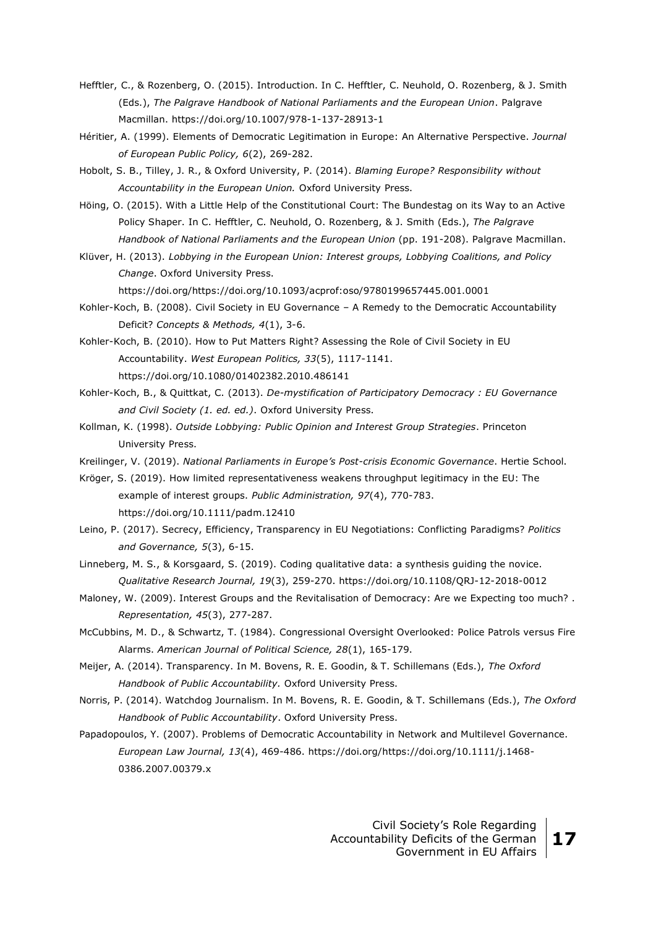- Hefftler, C., & Rozenberg, O. (2015). Introduction. In C. Hefftler, C. Neuhold, O. Rozenberg, & J. Smith (Eds.), *The Palgrave Handbook of National Parliaments and the European Union*. Palgrave Macmillan. https://doi.org/10.1007/978-1-137-28913-1
- Héritier, A. (1999). Elements of Democratic Legitimation in Europe: An Alternative Perspective. *Journal of European Public Policy, 6*(2), 269-282.
- Hobolt, S. B., Tilley, J. R., & Oxford University, P. (2014). *Blaming Europe? Responsibility without Accountability in the European Union.* Oxford University Press.
- Höing, O. (2015). With a Little Help of the Constitutional Court: The Bundestag on its Way to an Active Policy Shaper. In C. Hefftler, C. Neuhold, O. Rozenberg, & J. Smith (Eds.), *The Palgrave Handbook of National Parliaments and the European Union* (pp. 191-208). Palgrave Macmillan.
- Klüver, H. (2013). *Lobbying in the European Union: Interest groups, Lobbying Coalitions, and Policy Change*. Oxford University Press.

https://doi.org/https://doi.org/10.1093/acprof:oso/9780199657445.001.0001

- Kohler-Koch, B. (2008). Civil Society in EU Governance A Remedy to the Democratic Accountability Deficit? *Concepts & Methods, 4*(1), 3-6.
- Kohler-Koch, B. (2010). How to Put Matters Right? Assessing the Role of Civil Society in EU Accountability. *West European Politics, 33*(5), 1117-1141. https://doi.org/10.1080/01402382.2010.486141
- Kohler-Koch, B., & Quittkat, C. (2013). *De-mystification of Participatory Democracy : EU Governance and Civil Society (1. ed. ed.)*. Oxford University Press.
- Kollman, K. (1998). *Outside Lobbying: Public Opinion and Interest Group Strategies*. Princeton University Press.
- Kreilinger, V. (2019). *National Parliaments in Europe's Post-crisis Economic Governance*. Hertie School.
- Kröger, S. (2019). How limited representativeness weakens throughput legitimacy in the EU: The example of interest groups. *Public Administration, 97*(4), 770-783. https://doi.org/10.1111/padm.12410
- Leino, P. (2017). Secrecy, Efficiency, Transparency in EU Negotiations: Conflicting Paradigms? *Politics and Governance, 5*(3), 6-15.
- Linneberg, M. S., & Korsgaard, S. (2019). Coding qualitative data: a synthesis guiding the novice. *Qualitative Research Journal, 19*(3), 259-270. https://doi.org/10.1108/QRJ-12-2018-0012
- Maloney, W. (2009). Interest Groups and the Revitalisation of Democracy: Are we Expecting too much? . *Representation, 45*(3), 277-287.
- McCubbins, M. D., & Schwartz, T. (1984). Congressional Oversight Overlooked: Police Patrols versus Fire Alarms. *American Journal of Political Science, 28*(1), 165-179.
- Meijer, A. (2014). Transparency. In M. Bovens, R. E. Goodin, & T. Schillemans (Eds.), *The Oxford Handbook of Public Accountability.* Oxford University Press.
- Norris, P. (2014). Watchdog Journalism. In M. Bovens, R. E. Goodin, & T. Schillemans (Eds.), *The Oxford Handbook of Public Accountability*. Oxford University Press.
- Papadopoulos, Y. (2007). Problems of Democratic Accountability in Network and Multilevel Governance. *European Law Journal, 13*(4), 469-486. https://doi.org/https://doi.org/10.1111/j.1468- 0386.2007.00379.x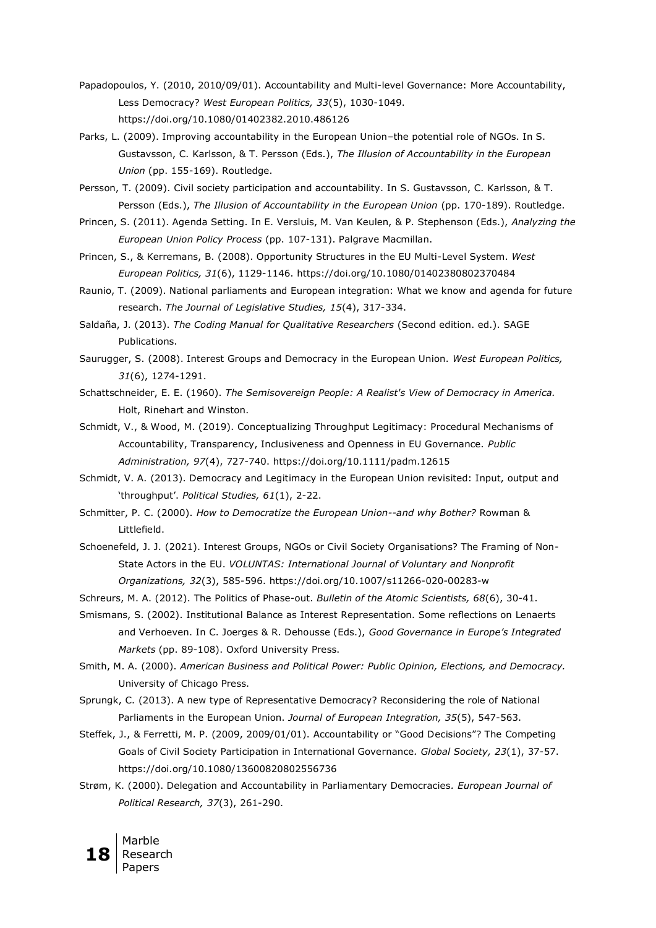- Papadopoulos, Y. (2010, 2010/09/01). Accountability and Multi-level Governance: More Accountability, Less Democracy? *West European Politics, 33*(5), 1030-1049. https://doi.org/10.1080/01402382.2010.486126
- Parks, L. (2009). Improving accountability in the European Union–the potential role of NGOs. In S. Gustavsson, C. Karlsson, & T. Persson (Eds.), *The Illusion of Accountability in the European Union* (pp. 155-169). Routledge.
- Persson, T. (2009). Civil society participation and accountability. In S. Gustavsson, C. Karlsson, & T. Persson (Eds.), *The Illusion of Accountability in the European Union* (pp. 170-189). Routledge.
- Princen, S. (2011). Agenda Setting. In E. Versluis, M. Van Keulen, & P. Stephenson (Eds.), *Analyzing the European Union Policy Process* (pp. 107-131). Palgrave Macmillan.
- Princen, S., & Kerremans, B. (2008). Opportunity Structures in the EU Multi-Level System. *West European Politics, 31*(6), 1129-1146. https://doi.org/10.1080/01402380802370484
- Raunio, T. (2009). National parliaments and European integration: What we know and agenda for future research. *The Journal of Legislative Studies, 15*(4), 317-334.
- Saldaña, J. (2013). *The Coding Manual for Qualitative Researchers* (Second edition. ed.). SAGE Publications.
- Saurugger, S. (2008). Interest Groups and Democracy in the European Union. *West European Politics, 31*(6), 1274-1291.
- Schattschneider, E. E. (1960). *The Semisovereign People: A Realist's View of Democracy in America.* Holt, Rinehart and Winston.
- Schmidt, V., & Wood, M. (2019). Conceptualizing Throughput Legitimacy: Procedural Mechanisms of Accountability, Transparency, Inclusiveness and Openness in EU Governance. *Public Administration, 97*(4), 727-740. https://doi.org/10.1111/padm.12615
- Schmidt, V. A. (2013). Democracy and Legitimacy in the European Union revisited: Input, output and 'throughput'. *Political Studies, 61*(1), 2-22.
- Schmitter, P. C. (2000). *How to Democratize the European Union--and why Bother?* Rowman & Littlefield.
- Schoenefeld, J. J. (2021). Interest Groups, NGOs or Civil Society Organisations? The Framing of Non-State Actors in the EU. *VOLUNTAS: International Journal of Voluntary and Nonprofit Organizations, 32*(3), 585-596. https://doi.org/10.1007/s11266-020-00283-w
- Schreurs, M. A. (2012). The Politics of Phase-out. *Bulletin of the Atomic Scientists, 68*(6), 30-41.
- Smismans, S. (2002). Institutional Balance as Interest Representation. Some reflections on Lenaerts and Verhoeven. In C. Joerges & R. Dehousse (Eds.), *Good Governance in Europe's Integrated Markets* (pp. 89-108). Oxford University Press.
- Smith, M. A. (2000). *American Business and Political Power: Public Opinion, Elections, and Democracy.*  University of Chicago Press.
- Sprungk, C. (2013). A new type of Representative Democracy? Reconsidering the role of National Parliaments in the European Union. *Journal of European Integration, 35*(5), 547-563.
- Steffek, J., & Ferretti, M. P. (2009, 2009/01/01). Accountability or "Good Decisions"? The Competing Goals of Civil Society Participation in International Governance*. Global Society, 23*(1), 37-57. https://doi.org/10.1080/13600820802556736
- Strøm, K. (2000). Delegation and Accountability in Parliamentary Democracies*. European Journal of Political Research, 37*(3), 261-290.

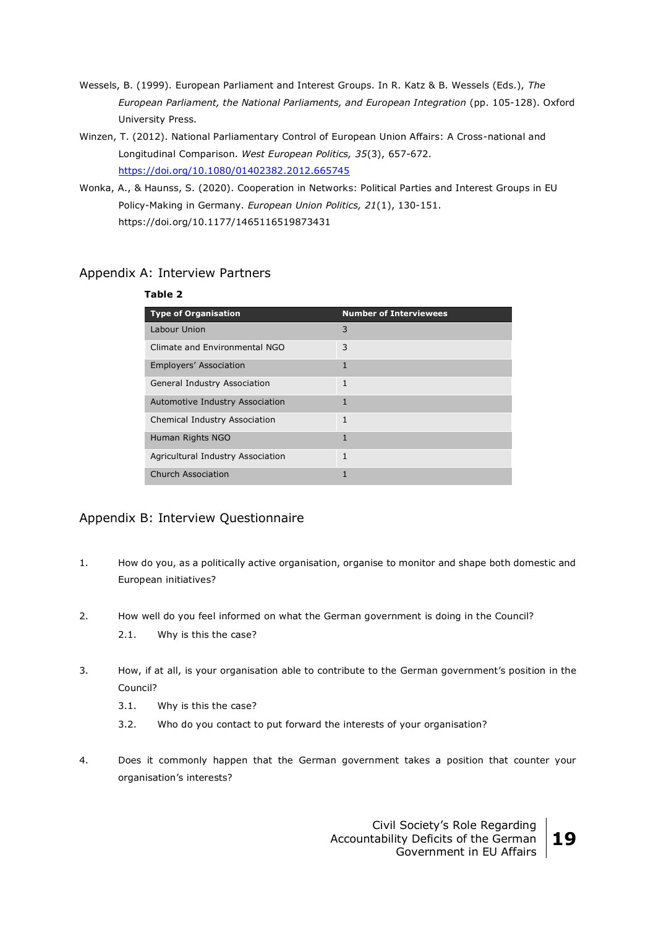- Wessels, B. (1999). European Parliament and Interest Groups. In R. Katz & B. Wessels (Eds.), *The European Parliament, the National Parliaments, and European Integration* (pp. 105-128). Oxford University Press.
- Winzen, T. (2012). National Parliamentary Control of European Union Affairs: A Cross-national and Longitudinal Comparison. *West European Politics, 35*(3), 657-672. <https://doi.org/10.1080/01402382.2012.665745>
- Wonka, A., & Haunss, S. (2020). Cooperation in Networks: Political Parties and Interest Groups in EU Policy-Making in Germany. *European Union Politics, 21*(1), 130-151. https://doi.org/10.1177/1465116519873431

## Appendix A: Interview Partners

# **Table 2 Type of Organisation Number of Interviewees** Labour Union 3 and 3 and 3 and 3 and 3 and 3 and 3 and 3 and 3 and 3 and 3 and 3 and 3 and 3 and 3 and 3 and 3  $\frac{1}{2}$ Climate and Environmental NGO 3 Employers' Association 1 General Industry Association 1 Automotive Industry Association 1 Chemical Industry Association 1 Human Rights NGO 1 Agricultural Industry Association 1 Church Association 1 and 1 and 1 and 1 and 1 and 1 and 1 and 1 and 1 and 1 and 1 and 1 and 1 and 1 and 1 and 1

## Appendix B: Interview Questionnaire

- 1. How do you, as a politically active organisation, organise to monitor and shape both domestic and European initiatives?
- 2. How well do you feel informed on what the German government is doing in the Council? 2.1. Why is this the case?
- 3. How, if at all, is your organisation able to contribute to the German government's position in the Council?
	- 3.1. Why is this the case?
	- 3.2. Who do you contact to put forward the interests of your organisation?
- 4. Does it commonly happen that the German government takes a position that counter your organisation's interests?

Civil Society's Role Regarding Accountability Deficits of the German Government in EU Affairs